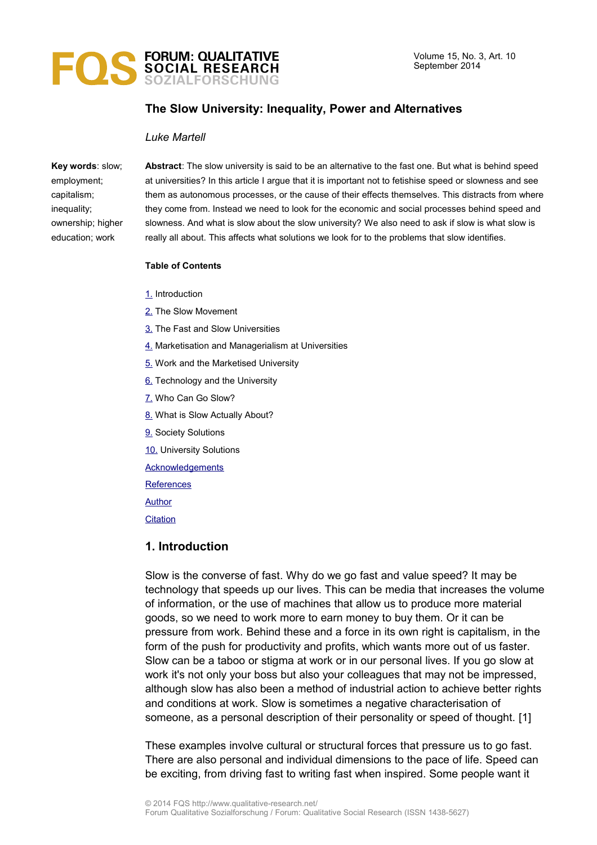

# **The Slow University: Inequality, Power and Alternatives**

#### *Luke Martell*

**Key words**: slow; employment; capitalism; inequality; ownership; higher education; work

**Abstract**: The slow university is said to be an alternative to the fast one. But what is behind speed at universities? In this article I argue that it is important not to fetishise speed or slowness and see them as autonomous processes, or the cause of their effects themselves. This distracts from where they come from. Instead we need to look for the economic and social processes behind speed and slowness. And what is slow about the slow university? We also need to ask if slow is what slow is really all about. This affects what solutions we look for to the problems that slow identifies.

#### **Table of Contents**

- [1.](#page-0-0) Introduction
- [2.](#page-1-0) The Slow Movement
- [3.](#page-2-0) The Fast and Slow Universities
- [4.](#page-4-0) Marketisation and Managerialism at Universities
- [5.](#page-5-0) Work and the Marketised University
- [6.](#page-6-0) Technology and the University
- [7.](#page-7-0) Who Can Go Slow?
- [8.](#page-8-0) What is Slow Actually About?
- [9.](#page-10-0) Society Solutions
- [10.](#page-12-0) University Solutions
- **[Acknowledgements](#page-13-1)**
- **[References](#page-13-0)**

[Author](#page-15-1)

**[Citation](#page-15-0)** 

# <span id="page-0-0"></span>**1. Introduction**

Slow is the converse of fast. Why do we go fast and value speed? It may be technology that speeds up our lives. This can be media that increases the volume of information, or the use of machines that allow us to produce more material goods, so we need to work more to earn money to buy them. Or it can be pressure from work. Behind these and a force in its own right is capitalism, in the form of the push for productivity and profits, which wants more out of us faster. Slow can be a taboo or stigma at work or in our personal lives. If you go slow at work it's not only your boss but also your colleagues that may not be impressed, although slow has also been a method of industrial action to achieve better rights and conditions at work. Slow is sometimes a negative characterisation of someone, as a personal description of their personality or speed of thought. [1]

These examples involve cultural or structural forces that pressure us to go fast. There are also personal and individual dimensions to the pace of life. Speed can be exciting, from driving fast to writing fast when inspired. Some people want it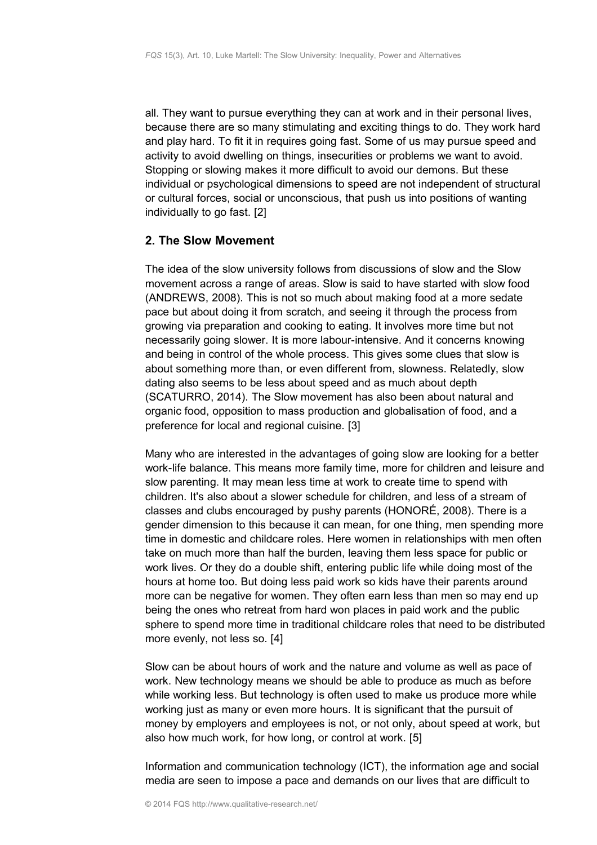all. They want to pursue everything they can at work and in their personal lives, because there are so many stimulating and exciting things to do. They work hard and play hard. To fit it in requires going fast. Some of us may pursue speed and activity to avoid dwelling on things, insecurities or problems we want to avoid. Stopping or slowing makes it more difficult to avoid our demons. But these individual or psychological dimensions to speed are not independent of structural or cultural forces, social or unconscious, that push us into positions of wanting individually to go fast. [2]

## <span id="page-1-0"></span>**2. The Slow Movement**

The idea of the slow university follows from discussions of slow and the Slow movement across a range of areas. Slow is said to have started with slow food (ANDREWS, 2008). This is not so much about making food at a more sedate pace but about doing it from scratch, and seeing it through the process from growing via preparation and cooking to eating. It involves more time but not necessarily going slower. It is more labour-intensive. And it concerns knowing and being in control of the whole process. This gives some clues that slow is about something more than, or even different from, slowness. Relatedly, slow dating also seems to be less about speed and as much about depth (SCATURRO, 2014). The Slow movement has also been about natural and organic food, opposition to mass production and globalisation of food, and a preference for local and regional cuisine. [3]

Many who are interested in the advantages of going slow are looking for a better work-life balance. This means more family time, more for children and leisure and slow parenting. It may mean less time at work to create time to spend with children. It's also about a slower schedule for children, and less of a stream of classes and clubs encouraged by pushy parents (HONORÉ, 2008). There is a gender dimension to this because it can mean, for one thing, men spending more time in domestic and childcare roles. Here women in relationships with men often take on much more than half the burden, leaving them less space for public or work lives. Or they do a double shift, entering public life while doing most of the hours at home too. But doing less paid work so kids have their parents around more can be negative for women. They often earn less than men so may end up being the ones who retreat from hard won places in paid work and the public sphere to spend more time in traditional childcare roles that need to be distributed more evenly, not less so. [4]

Slow can be about hours of work and the nature and volume as well as pace of work. New technology means we should be able to produce as much as before while working less. But technology is often used to make us produce more while working just as many or even more hours. It is significant that the pursuit of money by employers and employees is not, or not only, about speed at work, but also how much work, for how long, or control at work. [5]

Information and communication technology (ICT), the information age and social media are seen to impose a pace and demands on our lives that are difficult to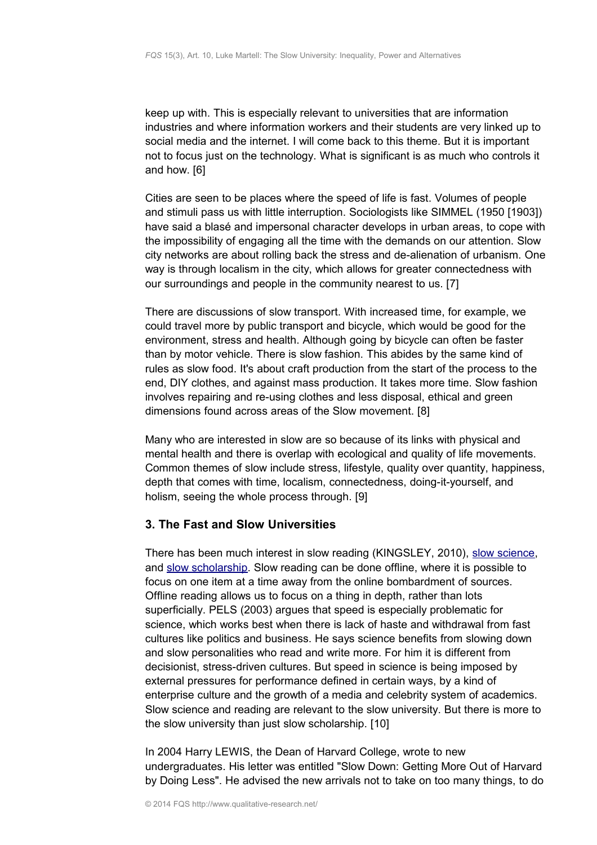keep up with. This is especially relevant to universities that are information industries and where information workers and their students are very linked up to social media and the internet. I will come back to this theme. But it is important not to focus just on the technology. What is significant is as much who controls it and how. [6]

Cities are seen to be places where the speed of life is fast. Volumes of people and stimuli pass us with little interruption. Sociologists like SIMMEL (1950 [1903]) have said a blasé and impersonal character develops in urban areas, to cope with the impossibility of engaging all the time with the demands on our attention. Slow city networks are about rolling back the stress and de-alienation of urbanism. One way is through localism in the city, which allows for greater connectedness with our surroundings and people in the community nearest to us. [7]

There are discussions of slow transport. With increased time, for example, we could travel more by public transport and bicycle, which would be good for the environment, stress and health. Although going by bicycle can often be faster than by motor vehicle. There is slow fashion. This abides by the same kind of rules as slow food. It's about craft production from the start of the process to the end, DIY clothes, and against mass production. It takes more time. Slow fashion involves repairing and re-using clothes and less disposal, ethical and green dimensions found across areas of the Slow movement. [8]

Many who are interested in slow are so because of its links with physical and mental health and there is overlap with ecological and quality of life movements. Common themes of slow include stress, lifestyle, quality over quantity, happiness, depth that comes with time, localism, connectedness, doing-it-yourself, and holism, seeing the whole process through. [9]

# <span id="page-2-0"></span>**3. The Fast and Slow Universities**

There has been much interest in slow reading (KINGSLEY, 2010), [slow science,](http://slow-science.org/) and [slow scholarship.](http://web.uvic.ca/~hist66/slowScholarship/) Slow reading can be done offline, where it is possible to focus on one item at a time away from the online bombardment of sources. Offline reading allows us to focus on a thing in depth, rather than lots superficially. PELS (2003) argues that speed is especially problematic for science, which works best when there is lack of haste and withdrawal from fast cultures like politics and business. He says science benefits from slowing down and slow personalities who read and write more. For him it is different from decisionist, stress-driven cultures. But speed in science is being imposed by external pressures for performance defined in certain ways, by a kind of enterprise culture and the growth of a media and celebrity system of academics. Slow science and reading are relevant to the slow university. But there is more to the slow university than just slow scholarship. [10]

In 2004 Harry LEWIS, the Dean of Harvard College, wrote to new undergraduates. His letter was entitled "Slow Down: Getting More Out of Harvard by Doing Less". He advised the new arrivals not to take on too many things, to do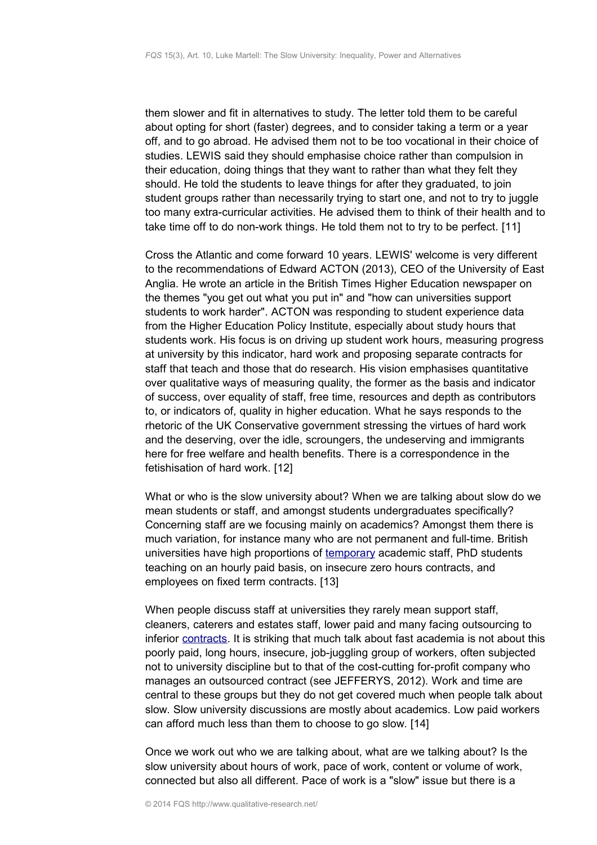them slower and fit in alternatives to study. The letter told them to be careful about opting for short (faster) degrees, and to consider taking a term or a year off, and to go abroad. He advised them not to be too vocational in their choice of studies. LEWIS said they should emphasise choice rather than compulsion in their education, doing things that they want to rather than what they felt they should. He told the students to leave things for after they graduated, to join student groups rather than necessarily trying to start one, and not to try to juggle too many extra-curricular activities. He advised them to think of their health and to take time off to do non-work things. He told them not to try to be perfect. [11]

Cross the Atlantic and come forward 10 years. LEWIS' welcome is very different to the recommendations of Edward ACTON (2013), CEO of the University of East Anglia. He wrote an article in the British Times Higher Education newspaper on the themes "you get out what you put in" and "how can universities support students to work harder". ACTON was responding to student experience data from the Higher Education Policy Institute, especially about study hours that students work. His focus is on driving up student work hours, measuring progress at university by this indicator, hard work and proposing separate contracts for staff that teach and those that do research. His vision emphasises quantitative over qualitative ways of measuring quality, the former as the basis and indicator of success, over equality of staff, free time, resources and depth as contributors to, or indicators of, quality in higher education. What he says responds to the rhetoric of the UK Conservative government stressing the virtues of hard work and the deserving, over the idle, scroungers, the undeserving and immigrants here for free welfare and health benefits. There is a correspondence in the fetishisation of hard work. [12]

What or who is the slow university about? When we are talking about slow do we mean students or staff, and amongst students undergraduates specifically? Concerning staff are we focusing mainly on academics? Amongst them there is much variation, for instance many who are not permanent and full-time. British universities have high proportions of [temporary](http://www.ucu.org.uk/2973) academic staff, PhD students teaching on an hourly paid basis, on insecure zero hours contracts, and employees on fixed term contracts. [13]

When people discuss staff at universities they rarely mean support staff, cleaners, caterers and estates staff, lower paid and many facing outsourcing to inferior [contracts.](http://3cosascampaign.wordpress.com/) It is striking that much talk about fast academia is not about this poorly paid, long hours, insecure, job-juggling group of workers, often subjected not to university discipline but to that of the cost-cutting for-profit company who manages an outsourced contract (see JEFFERYS, 2012). Work and time are central to these groups but they do not get covered much when people talk about slow. Slow university discussions are mostly about academics. Low paid workers can afford much less than them to choose to go slow. [14]

Once we work out who we are talking about, what are we talking about? Is the slow university about hours of work, pace of work, content or volume of work, connected but also all different. Pace of work is a "slow" issue but there is a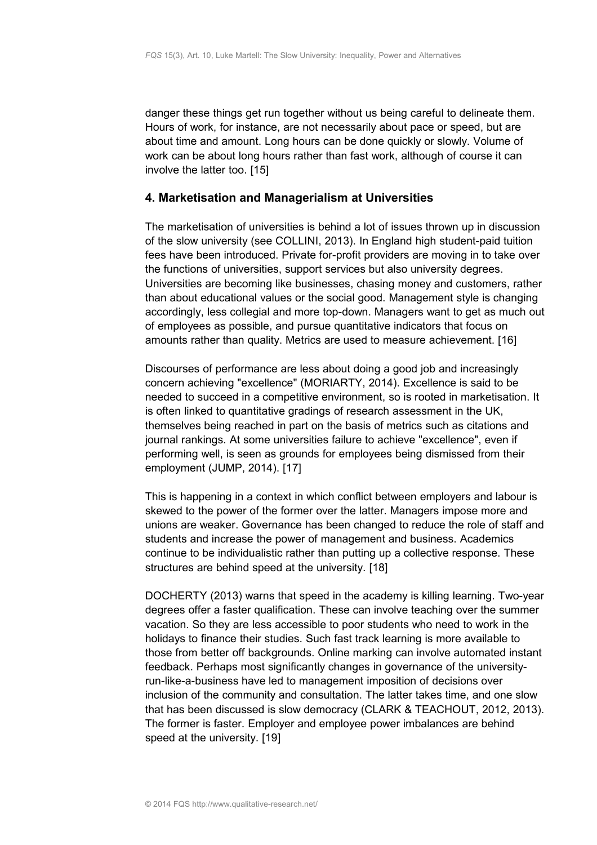danger these things get run together without us being careful to delineate them. Hours of work, for instance, are not necessarily about pace or speed, but are about time and amount. Long hours can be done quickly or slowly. Volume of work can be about long hours rather than fast work, although of course it can involve the latter too. [15]

## <span id="page-4-0"></span>**4. Marketisation and Managerialism at Universities**

The marketisation of universities is behind a lot of issues thrown up in discussion of the slow university (see COLLINI, 2013). In England high student-paid tuition fees have been introduced. Private for-profit providers are moving in to take over the functions of universities, support services but also university degrees. Universities are becoming like businesses, chasing money and customers, rather than about educational values or the social good. Management style is changing accordingly, less collegial and more top-down. Managers want to get as much out of employees as possible, and pursue quantitative indicators that focus on amounts rather than quality. Metrics are used to measure achievement. [16]

Discourses of performance are less about doing a good job and increasingly concern achieving "excellence" (MORIARTY, 2014). Excellence is said to be needed to succeed in a competitive environment, so is rooted in marketisation. It is often linked to quantitative gradings of research assessment in the UK, themselves being reached in part on the basis of metrics such as citations and journal rankings. At some universities failure to achieve "excellence", even if performing well, is seen as grounds for employees being dismissed from their employment (JUMP, 2014). [17]

This is happening in a context in which conflict between employers and labour is skewed to the power of the former over the latter. Managers impose more and unions are weaker. Governance has been changed to reduce the role of staff and students and increase the power of management and business. Academics continue to be individualistic rather than putting up a collective response. These structures are behind speed at the university. [18]

DOCHERTY (2013) warns that speed in the academy is killing learning. Two-year degrees offer a faster qualification. These can involve teaching over the summer vacation. So they are less accessible to poor students who need to work in the holidays to finance their studies. Such fast track learning is more available to those from better off backgrounds. Online marking can involve automated instant feedback. Perhaps most significantly changes in governance of the universityrun-like-a-business have led to management imposition of decisions over inclusion of the community and consultation. The latter takes time, and one slow that has been discussed is slow democracy (CLARK & TEACHOUT, 2012, 2013). The former is faster. Employer and employee power imbalances are behind speed at the university. [19]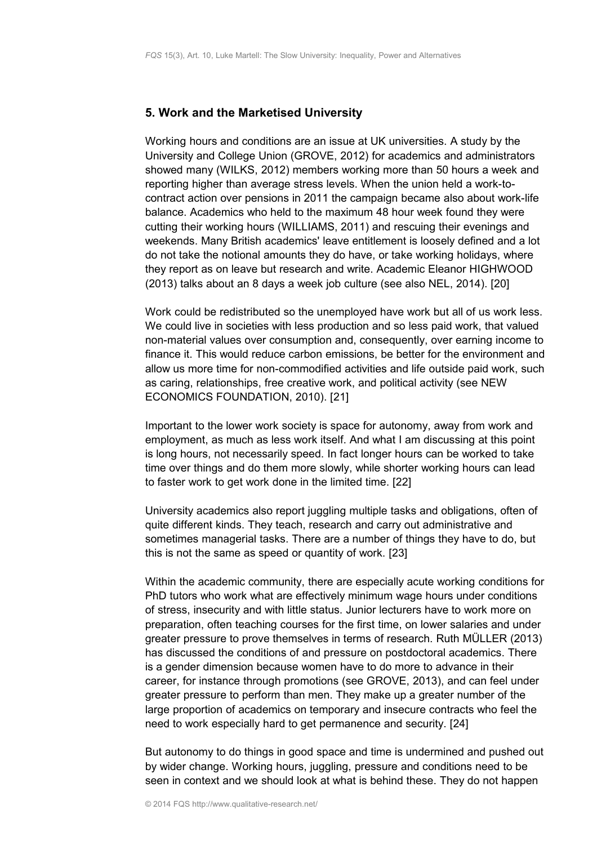#### <span id="page-5-0"></span>**5. Work and the Marketised University**

Working hours and conditions are an issue at UK universities. A study by the University and College Union (GROVE, 2012) for academics and administrators showed many (WILKS, 2012) members working more than 50 hours a week and reporting higher than average stress levels. When the union held a work-tocontract action over pensions in 2011 the campaign became also about work-life balance. Academics who held to the maximum 48 hour week found they were cutting their working hours (WILLIAMS, 2011) and rescuing their evenings and weekends. Many British academics' leave entitlement is loosely defined and a lot do not take the notional amounts they do have, or take working holidays, where they report as on leave but research and write. Academic Eleanor HIGHWOOD (2013) talks about an 8 days a week job culture (see also NEL, 2014). [20]

Work could be redistributed so the unemployed have work but all of us work less. We could live in societies with less production and so less paid work, that valued non-material values over consumption and, consequently, over earning income to finance it. This would reduce carbon emissions, be better for the environment and allow us more time for non-commodified activities and life outside paid work, such as caring, relationships, free creative work, and political activity (see NEW ECONOMICS FOUNDATION, 2010). [21]

Important to the lower work society is space for autonomy, away from work and employment, as much as less work itself. And what I am discussing at this point is long hours, not necessarily speed. In fact longer hours can be worked to take time over things and do them more slowly, while shorter working hours can lead to faster work to get work done in the limited time. [22]

University academics also report juggling multiple tasks and obligations, often of quite different kinds. They teach, research and carry out administrative and sometimes managerial tasks. There are a number of things they have to do, but this is not the same as speed or quantity of work. [23]

Within the academic community, there are especially acute working conditions for PhD tutors who work what are effectively minimum wage hours under conditions of stress, insecurity and with little status. Junior lecturers have to work more on preparation, often teaching courses for the first time, on lower salaries and under greater pressure to prove themselves in terms of research. Ruth MÜLLER (2013) has discussed the conditions of and pressure on postdoctoral academics. There is a gender dimension because women have to do more to advance in their career, for instance through promotions (see GROVE, 2013), and can feel under greater pressure to perform than men. They make up a greater number of the large proportion of academics on temporary and insecure contracts who feel the need to work especially hard to get permanence and security. [24]

But autonomy to do things in good space and time is undermined and pushed out by wider change. Working hours, juggling, pressure and conditions need to be seen in context and we should look at what is behind these. They do not happen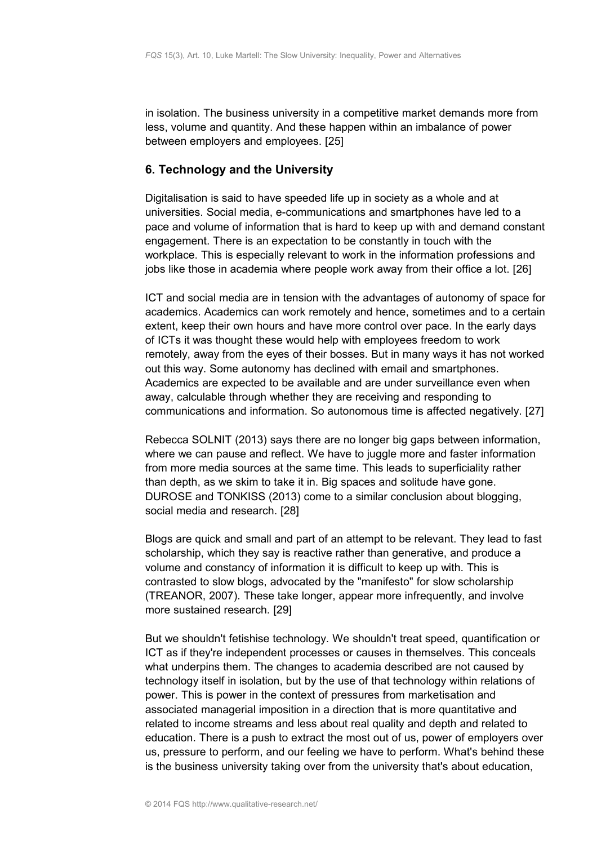in isolation. The business university in a competitive market demands more from less, volume and quantity. And these happen within an imbalance of power between employers and employees. [25]

# <span id="page-6-0"></span>**6. Technology and the University**

Digitalisation is said to have speeded life up in society as a whole and at universities. Social media, e-communications and smartphones have led to a pace and volume of information that is hard to keep up with and demand constant engagement. There is an expectation to be constantly in touch with the workplace. This is especially relevant to work in the information professions and jobs like those in academia where people work away from their office a lot. [26]

ICT and social media are in tension with the advantages of autonomy of space for academics. Academics can work remotely and hence, sometimes and to a certain extent, keep their own hours and have more control over pace. In the early days of ICTs it was thought these would help with employees freedom to work remotely, away from the eyes of their bosses. But in many ways it has not worked out this way. Some autonomy has declined with email and smartphones. Academics are expected to be available and are under surveillance even when away, calculable through whether they are receiving and responding to communications and information. So autonomous time is affected negatively. [27]

Rebecca SOLNIT (2013) says there are no longer big gaps between information, where we can pause and reflect. We have to juggle more and faster information from more media sources at the same time. This leads to superficiality rather than depth, as we skim to take it in. Big spaces and solitude have gone. DUROSE and TONKISS (2013) come to a similar conclusion about blogging, social media and research. [28]

Blogs are quick and small and part of an attempt to be relevant. They lead to fast scholarship, which they say is reactive rather than generative, and produce a volume and constancy of information it is difficult to keep up with. This is contrasted to slow blogs, advocated by the "manifesto" for slow scholarship (TREANOR, 2007). These take longer, appear more infrequently, and involve more sustained research. [29]

But we shouldn't fetishise technology. We shouldn't treat speed, quantification or ICT as if they're independent processes or causes in themselves. This conceals what underpins them. The changes to academia described are not caused by technology itself in isolation, but by the use of that technology within relations of power. This is power in the context of pressures from marketisation and associated managerial imposition in a direction that is more quantitative and related to income streams and less about real quality and depth and related to education. There is a push to extract the most out of us, power of employers over us, pressure to perform, and our feeling we have to perform. What's behind these is the business university taking over from the university that's about education,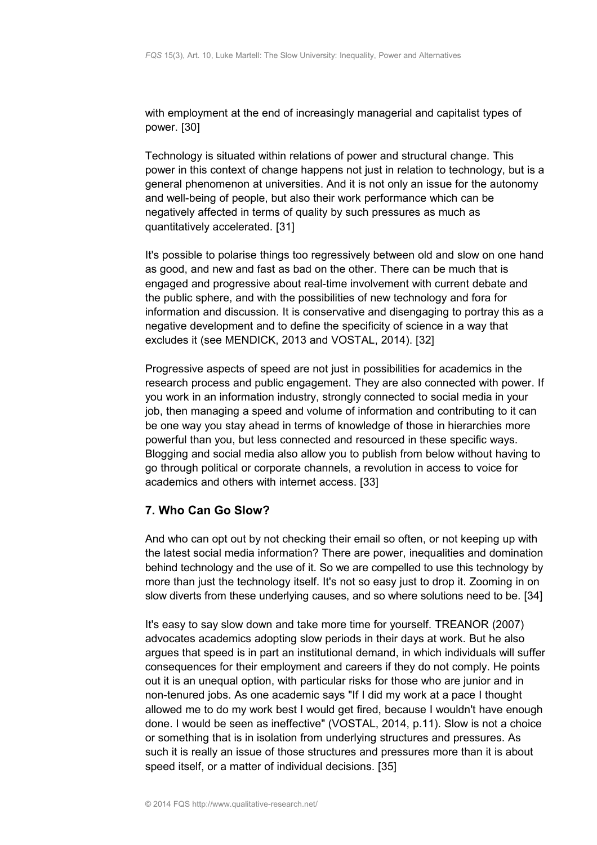with employment at the end of increasingly managerial and capitalist types of power. [30]

Technology is situated within relations of power and structural change. This power in this context of change happens not just in relation to technology, but is a general phenomenon at universities. And it is not only an issue for the autonomy and well-being of people, but also their work performance which can be negatively affected in terms of quality by such pressures as much as quantitatively accelerated. [31]

It's possible to polarise things too regressively between old and slow on one hand as good, and new and fast as bad on the other. There can be much that is engaged and progressive about real-time involvement with current debate and the public sphere, and with the possibilities of new technology and fora for information and discussion. It is conservative and disengaging to portray this as a negative development and to define the specificity of science in a way that excludes it (see MENDICK, 2013 and VOSTAL, 2014). [32]

Progressive aspects of speed are not just in possibilities for academics in the research process and public engagement. They are also connected with power. If you work in an information industry, strongly connected to social media in your job, then managing a speed and volume of information and contributing to it can be one way you stay ahead in terms of knowledge of those in hierarchies more powerful than you, but less connected and resourced in these specific ways. Blogging and social media also allow you to publish from below without having to go through political or corporate channels, a revolution in access to voice for academics and others with internet access. [33]

# <span id="page-7-0"></span>**7. Who Can Go Slow?**

And who can opt out by not checking their email so often, or not keeping up with the latest social media information? There are power, inequalities and domination behind technology and the use of it. So we are compelled to use this technology by more than just the technology itself. It's not so easy just to drop it. Zooming in on slow diverts from these underlying causes, and so where solutions need to be. [34]

It's easy to say slow down and take more time for yourself. TREANOR (2007) advocates academics adopting slow periods in their days at work. But he also argues that speed is in part an institutional demand, in which individuals will suffer consequences for their employment and careers if they do not comply. He points out it is an unequal option, with particular risks for those who are junior and in non-tenured jobs. As one academic says "If I did my work at a pace I thought allowed me to do my work best I would get fired, because I wouldn't have enough done. I would be seen as ineffective" (VOSTAL, 2014, p.11). Slow is not a choice or something that is in isolation from underlying structures and pressures. As such it is really an issue of those structures and pressures more than it is about speed itself, or a matter of individual decisions. [35]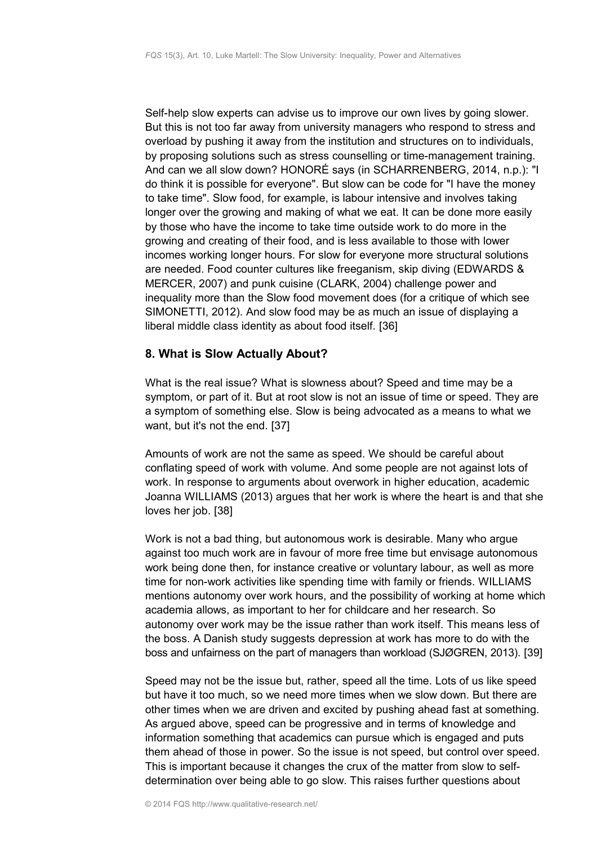Self-help slow experts can advise us to improve our own lives by going slower. But this is not too far away from university managers who respond to stress and overload by pushing it away from the institution and structures on to individuals, by proposing solutions such as stress counselling or time-management training. And can we all slow down? HONORÉ says (in SCHARRENBERG, 2014, n.p.): "I do think it is possible for everyone". But slow can be code for "I have the money to take time". Slow food, for example, is labour intensive and involves taking longer over the growing and making of what we eat. It can be done more easily by those who have the income to take time outside work to do more in the growing and creating of their food, and is less available to those with lower incomes working longer hours. For slow for everyone more structural solutions are needed. Food counter cultures like freeganism, skip diving (EDWARDS & MERCER, 2007) and punk cuisine (CLARK, 2004) challenge power and inequality more than the Slow food movement does (for a critique of which see SIMONETTI, 2012). And slow food may be as much an issue of displaying a liberal middle class identity as about food itself. [36]

## <span id="page-8-0"></span>**8. What is Slow Actually About?**

What is the real issue? What is slowness about? Speed and time may be a symptom, or part of it. But at root slow is not an issue of time or speed. They are a symptom of something else. Slow is being advocated as a means to what we want, but it's not the end. [37]

Amounts of work are not the same as speed. We should be careful about conflating speed of work with volume. And some people are not against lots of work. In response to arguments about overwork in higher education, academic Joanna WILLIAMS (2013) argues that her work is where the heart is and that she loves her job. [38]

Work is not a bad thing, but autonomous work is desirable. Many who argue against too much work are in favour of more free time but envisage autonomous work being done then, for instance creative or voluntary labour, as well as more time for non-work activities like spending time with family or friends. WILLIAMS mentions autonomy over work hours, and the possibility of working at home which academia allows, as important to her for childcare and her research. So autonomy over work may be the issue rather than work itself. This means less of the boss. A Danish study suggests depression at work has more to do with the boss and unfairness on the part of managers than workload (SJØGREN, 2013). [39]

Speed may not be the issue but, rather, speed all the time. Lots of us like speed but have it too much, so we need more times when we slow down. But there are other times when we are driven and excited by pushing ahead fast at something. As argued above, speed can be progressive and in terms of knowledge and information something that academics can pursue which is engaged and puts them ahead of those in power. So the issue is not speed, but control over speed. This is important because it changes the crux of the matter from slow to selfdetermination over being able to go slow. This raises further questions about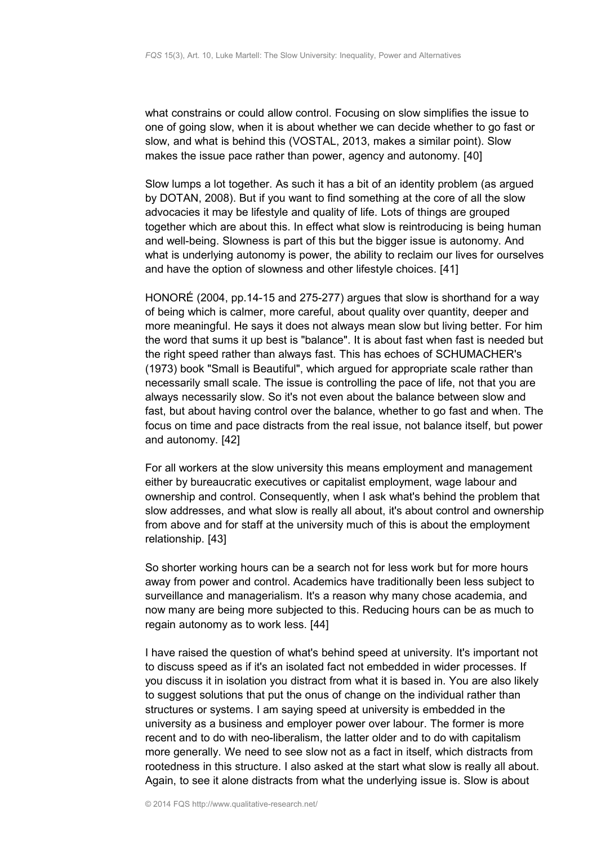what constrains or could allow control. Focusing on slow simplifies the issue to one of going slow, when it is about whether we can decide whether to go fast or slow, and what is behind this (VOSTAL, 2013, makes a similar point). Slow makes the issue pace rather than power, agency and autonomy. [40]

Slow lumps a lot together. As such it has a bit of an identity problem (as argued by DOTAN, 2008). But if you want to find something at the core of all the slow advocacies it may be lifestyle and quality of life. Lots of things are grouped together which are about this. In effect what slow is reintroducing is being human and well-being. Slowness is part of this but the bigger issue is autonomy. And what is underlying autonomy is power, the ability to reclaim our lives for ourselves and have the option of slowness and other lifestyle choices. [41]

HONORÉ (2004, pp.14-15 and 275-277) argues that slow is shorthand for a way of being which is calmer, more careful, about quality over quantity, deeper and more meaningful. He says it does not always mean slow but living better. For him the word that sums it up best is "balance". It is about fast when fast is needed but the right speed rather than always fast. This has echoes of SCHUMACHER's (1973) book "Small is Beautiful", which argued for appropriate scale rather than necessarily small scale. The issue is controlling the pace of life, not that you are always necessarily slow. So it's not even about the balance between slow and fast, but about having control over the balance, whether to go fast and when. The focus on time and pace distracts from the real issue, not balance itself, but power and autonomy. [42]

For all workers at the slow university this means employment and management either by bureaucratic executives or capitalist employment, wage labour and ownership and control. Consequently, when I ask what's behind the problem that slow addresses, and what slow is really all about, it's about control and ownership from above and for staff at the university much of this is about the employment relationship. [43]

So shorter working hours can be a search not for less work but for more hours away from power and control. Academics have traditionally been less subject to surveillance and managerialism. It's a reason why many chose academia, and now many are being more subjected to this. Reducing hours can be as much to regain autonomy as to work less. [44]

I have raised the question of what's behind speed at university. It's important not to discuss speed as if it's an isolated fact not embedded in wider processes. If you discuss it in isolation you distract from what it is based in. You are also likely to suggest solutions that put the onus of change on the individual rather than structures or systems. I am saying speed at university is embedded in the university as a business and employer power over labour. The former is more recent and to do with neo-liberalism, the latter older and to do with capitalism more generally. We need to see slow not as a fact in itself, which distracts from rootedness in this structure. I also asked at the start what slow is really all about. Again, to see it alone distracts from what the underlying issue is. Slow is about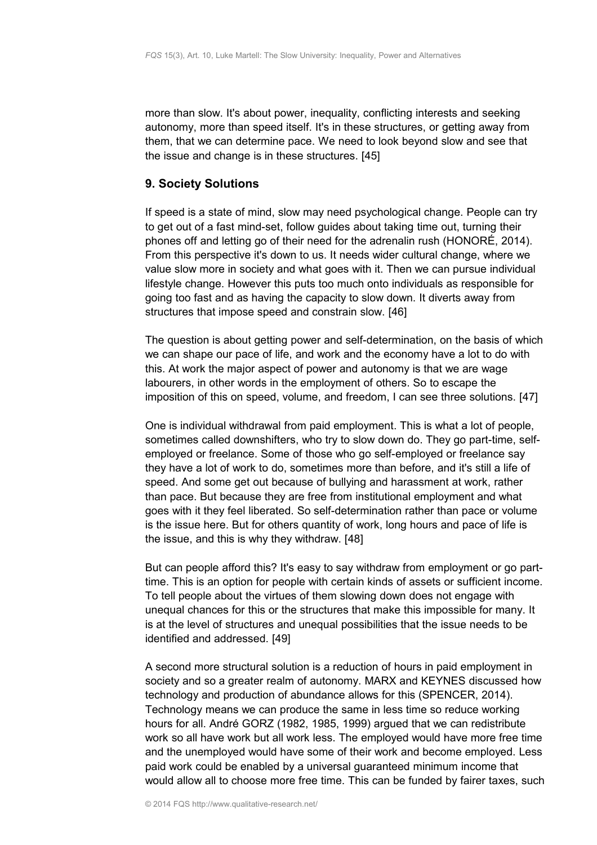more than slow. It's about power, inequality, conflicting interests and seeking autonomy, more than speed itself. It's in these structures, or getting away from them, that we can determine pace. We need to look beyond slow and see that the issue and change is in these structures. [45]

## <span id="page-10-0"></span>**9. Society Solutions**

If speed is a state of mind, slow may need psychological change. People can try to get out of a fast mind-set, follow guides about taking time out, turning their phones off and letting go of their need for the adrenalin rush (HONORÉ, 2014). From this perspective it's down to us. It needs wider cultural change, where we value slow more in society and what goes with it. Then we can pursue individual lifestyle change. However this puts too much onto individuals as responsible for going too fast and as having the capacity to slow down. It diverts away from structures that impose speed and constrain slow. [46]

The question is about getting power and self-determination, on the basis of which we can shape our pace of life, and work and the economy have a lot to do with this. At work the major aspect of power and autonomy is that we are wage labourers, in other words in the employment of others. So to escape the imposition of this on speed, volume, and freedom, I can see three solutions. [47]

One is individual withdrawal from paid employment. This is what a lot of people, sometimes called downshifters, who try to slow down do. They go part-time, selfemployed or freelance. Some of those who go self-employed or freelance say they have a lot of work to do, sometimes more than before, and it's still a life of speed. And some get out because of bullying and harassment at work, rather than pace. But because they are free from institutional employment and what goes with it they feel liberated. So self-determination rather than pace or volume is the issue here. But for others quantity of work, long hours and pace of life is the issue, and this is why they withdraw. [48]

But can people afford this? It's easy to say withdraw from employment or go parttime. This is an option for people with certain kinds of assets or sufficient income. To tell people about the virtues of them slowing down does not engage with unequal chances for this or the structures that make this impossible for many. It is at the level of structures and unequal possibilities that the issue needs to be identified and addressed. [49]

A second more structural solution is a reduction of hours in paid employment in society and so a greater realm of autonomy. MARX and KEYNES discussed how technology and production of abundance allows for this (SPENCER, 2014). Technology means we can produce the same in less time so reduce working hours for all. André GORZ (1982, 1985, 1999) argued that we can redistribute work so all have work but all work less. The employed would have more free time and the unemployed would have some of their work and become employed. Less paid work could be enabled by a universal guaranteed minimum income that would allow all to choose more free time. This can be funded by fairer taxes, such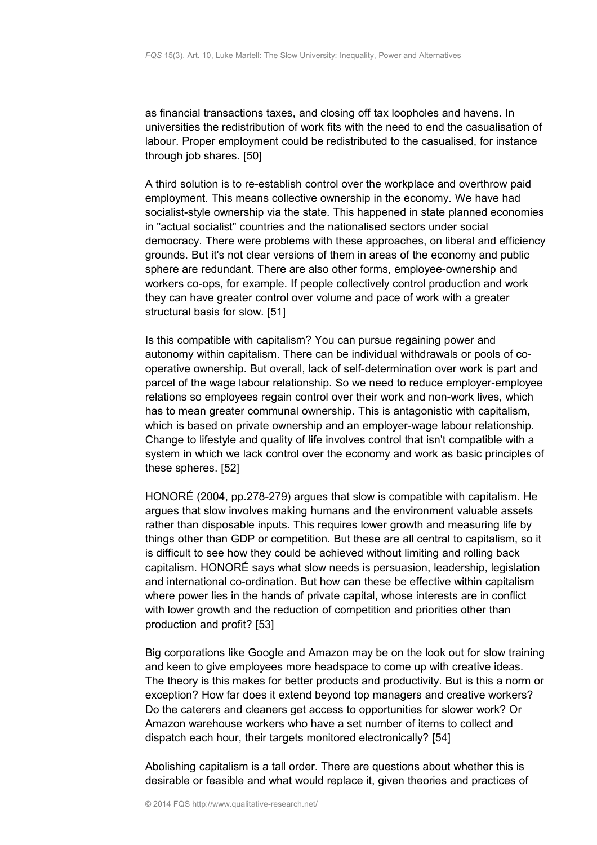as financial transactions taxes, and closing off tax loopholes and havens. In universities the redistribution of work fits with the need to end the casualisation of labour. Proper employment could be redistributed to the casualised, for instance through job shares. [50]

A third solution is to re-establish control over the workplace and overthrow paid employment. This means collective ownership in the economy. We have had socialist-style ownership via the state. This happened in state planned economies in "actual socialist" countries and the nationalised sectors under social democracy. There were problems with these approaches, on liberal and efficiency grounds. But it's not clear versions of them in areas of the economy and public sphere are redundant. There are also other forms, employee-ownership and workers co-ops, for example. If people collectively control production and work they can have greater control over volume and pace of work with a greater structural basis for slow. [51]

Is this compatible with capitalism? You can pursue regaining power and autonomy within capitalism. There can be individual withdrawals or pools of cooperative ownership. But overall, lack of self-determination over work is part and parcel of the wage labour relationship. So we need to reduce employer-employee relations so employees regain control over their work and non-work lives, which has to mean greater communal ownership. This is antagonistic with capitalism, which is based on private ownership and an employer-wage labour relationship. Change to lifestyle and quality of life involves control that isn't compatible with a system in which we lack control over the economy and work as basic principles of these spheres. [52]

HONORÉ (2004, pp.278-279) argues that slow is compatible with capitalism. He argues that slow involves making humans and the environment valuable assets rather than disposable inputs. This requires lower growth and measuring life by things other than GDP or competition. But these are all central to capitalism, so it is difficult to see how they could be achieved without limiting and rolling back capitalism. HONORÉ says what slow needs is persuasion, leadership, legislation and international co-ordination. But how can these be effective within capitalism where power lies in the hands of private capital, whose interests are in conflict with lower growth and the reduction of competition and priorities other than production and profit? [53]

Big corporations like Google and Amazon may be on the look out for slow training and keen to give employees more headspace to come up with creative ideas. The theory is this makes for better products and productivity. But is this a norm or exception? How far does it extend beyond top managers and creative workers? Do the caterers and cleaners get access to opportunities for slower work? Or Amazon warehouse workers who have a set number of items to collect and dispatch each hour, their targets monitored electronically? [54]

Abolishing capitalism is a tall order. There are questions about whether this is desirable or feasible and what would replace it, given theories and practices of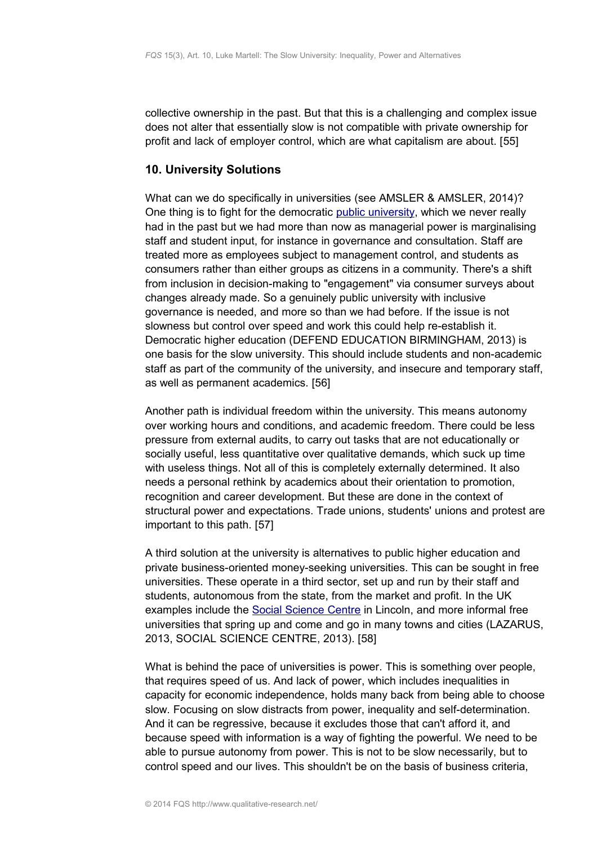collective ownership in the past. But that this is a challenging and complex issue does not alter that essentially slow is not compatible with private ownership for profit and lack of employer control, which are what capitalism are about. [55]

# <span id="page-12-0"></span>**10. University Solutions**

What can we do specifically in universities (see AMSLER & AMSLER, 2014)? One thing is to fight for the democratic [public university,](http://publicuniversity.org.uk/) which we never really had in the past but we had more than now as managerial power is marginalising staff and student input, for instance in governance and consultation. Staff are treated more as employees subject to management control, and students as consumers rather than either groups as citizens in a community. There's a shift from inclusion in decision-making to "engagement" via consumer surveys about changes already made. So a genuinely public university with inclusive governance is needed, and more so than we had before. If the issue is not slowness but control over speed and work this could help re-establish it. Democratic higher education (DEFEND EDUCATION BIRMINGHAM, 2013) is one basis for the slow university. This should include students and non-academic staff as part of the community of the university, and insecure and temporary staff, as well as permanent academics. [56]

Another path is individual freedom within the university. This means autonomy over working hours and conditions, and academic freedom. There could be less pressure from external audits, to carry out tasks that are not educationally or socially useful, less quantitative over qualitative demands, which suck up time with useless things. Not all of this is completely externally determined. It also needs a personal rethink by academics about their orientation to promotion, recognition and career development. But these are done in the context of structural power and expectations. Trade unions, students' unions and protest are important to this path. [57]

A third solution at the university is alternatives to public higher education and private business-oriented money-seeking universities. This can be sought in free universities. These operate in a third sector, set up and run by their staff and students, autonomous from the state, from the market and profit. In the UK examples include the [Social Science Centre](http://socialsciencecentre.org.uk/) in Lincoln, and more informal free universities that spring up and come and go in many towns and cities (LAZARUS, 2013, SOCIAL SCIENCE CENTRE, 2013). [58]

What is behind the pace of universities is power. This is something over people, that requires speed of us. And lack of power, which includes inequalities in capacity for economic independence, holds many back from being able to choose slow. Focusing on slow distracts from power, inequality and self-determination. And it can be regressive, because it excludes those that can't afford it, and because speed with information is a way of fighting the powerful. We need to be able to pursue autonomy from power. This is not to be slow necessarily, but to control speed and our lives. This shouldn't be on the basis of business criteria,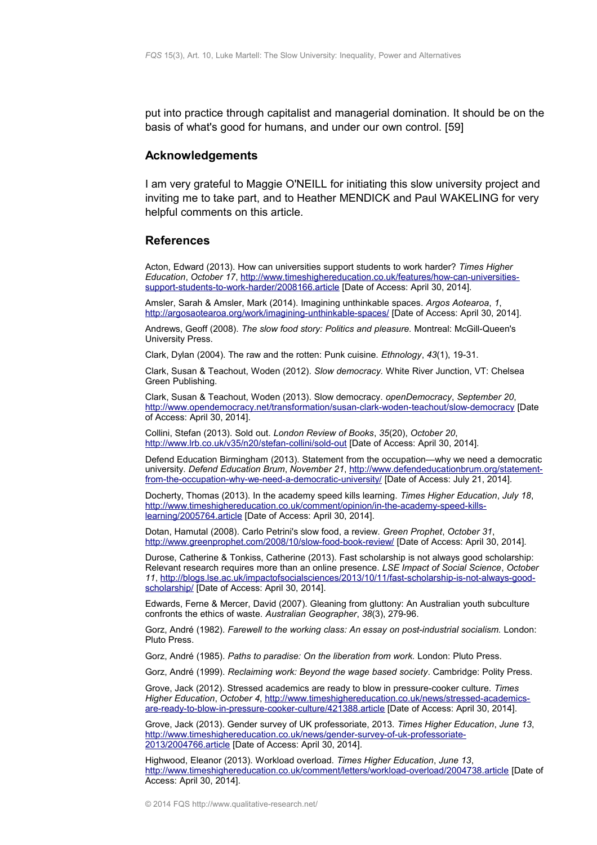put into practice through capitalist and managerial domination. It should be on the basis of what's good for humans, and under our own control. [59]

## <span id="page-13-1"></span>**Acknowledgements**

I am very grateful to Maggie O'NEILL for initiating this slow university project and inviting me to take part, and to Heather MENDICK and Paul WAKELING for very helpful comments on this article.

#### <span id="page-13-0"></span>**References**

Acton, Edward (2013). How can universities support students to work harder? *Times Higher Education*, *October 17*, [http://www.timeshighereducation.co.uk/features/how-can-universities](http://www.timeshighereducation.co.uk/features/how-can-universities-support-students-to-work-harder/2008166.article)[support-students-to-work-harder/2008166.article](http://www.timeshighereducation.co.uk/features/how-can-universities-support-students-to-work-harder/2008166.article) [Date of Access: April 30, 2014].

Amsler, Sarah & Amsler, Mark (2014). Imagining unthinkable spaces. *Argos Aotearoa*, *1*, <http://argosaotearoa.org/work/imagining-unthinkable-spaces/>[Date of Access: April 30, 2014].

Andrews, Geoff (2008). *The slow food story: Politics and pleasure.* Montreal: McGill-Queen's University Press.

Clark, Dylan (2004). The raw and the rotten: Punk cuisine. *Ethnology*, *43*(1), 19-31.

Clark, Susan & Teachout, Woden (2012). *Slow democracy.* White River Junction, VT: Chelsea Green Publishing.

Clark, Susan & Teachout, Woden (2013). Slow democracy. *openDemocracy*, *September 20*, <http://www.opendemocracy.net/transformation/susan-clark-woden-teachout/slow-democracy>[Date of Access: April 30, 2014].

Collini, Stefan (2013). Sold out. *London Review of Books*, *35*(20), *October 20*, <http://www.lrb.co.uk/v35/n20/stefan-collini/sold-out>[Date of Access: April 30, 2014].

Defend Education Birmingham (2013). Statement from the occupation—why we need a democratic university. *Defend Education Brum*, *November 21*, [http://www.defendeducationbrum.org/statement](http://www.defendeducationbrum.org/statement-from-the-occupation-why-we-need-a-democratic-university/)[from-the-occupation-why-we-need-a-democratic-university/](http://www.defendeducationbrum.org/statement-from-the-occupation-why-we-need-a-democratic-university/) [Date of Access: July 21, 2014].

Docherty, Thomas (2013). In the academy speed kills learning. *Times Higher Education*, *July 18*, [http://www.timeshighereducation.co.uk/comment/opinion/in-the-academy-speed-kills](http://www.timeshighereducation.co.uk/comment/opinion/in-the-academy-speed-kills-learning/2005764.article)[learning/2005764.article](http://www.timeshighereducation.co.uk/comment/opinion/in-the-academy-speed-kills-learning/2005764.article) [Date of Access: April 30, 2014].

Dotan, Hamutal (2008). Carlo Petrini's slow food, a review. *Green Prophet*, *October 31*, <http://www.greenprophet.com/2008/10/slow-food-book-review/>[Date of Access: April 30, 2014].

Durose, Catherine & Tonkiss, Catherine (2013). Fast scholarship is not always good scholarship: Relevant research requires more than an online presence. *LSE Impact of Social Science*, *October 11*, [http://blogs.lse.ac.uk/impactofsocialsciences/2013/10/11/fast-scholarship-is-not-always-good](http://blogs.lse.ac.uk/impactofsocialsciences/2013/10/11/fast-scholarship-is-not-always-good-scholarship/)[scholarship/](http://blogs.lse.ac.uk/impactofsocialsciences/2013/10/11/fast-scholarship-is-not-always-good-scholarship/) [Date of Access: April 30, 2014].

Edwards, Ferne & Mercer, David (2007). Gleaning from gluttony: An Australian youth subculture confronts the ethics of waste. *Australian Geographer*, *38*(3), 279-96.

Gorz, André (1982). *Farewell to the working class: An essay on post-industrial socialism.* London: Pluto Press.

Gorz, André (1985). *Paths to paradise: On the liberation from work.* London: Pluto Press.

Gorz, André (1999). *Reclaiming work: Beyond the wage based society*. Cambridge: Polity Press.

Grove, Jack (2012). Stressed academics are ready to blow in pressure-cooker culture. *Times Higher Education*, *October 4*, [http://www.timeshighereducation.co.uk/news/stressed-academics](http://www.timeshighereducation.co.uk/news/stressed-academics-are-ready-to-blow-in-pressure-cooker-culture/421388.article)[are-ready-to-blow-in-pressure-cooker-culture/421388.article](http://www.timeshighereducation.co.uk/news/stressed-academics-are-ready-to-blow-in-pressure-cooker-culture/421388.article) [Date of Access: April 30, 2014].

Grove, Jack (2013). Gender survey of UK professoriate, 2013. *Times Higher Education*, *June 13*, [http://www.timeshighereducation.co.uk/news/gender-survey-of-uk-professoriate-](http://www.timeshighereducation.co.uk/news/gender-survey-of-uk-professoriate-2013/2004766.article)[2013/2004766.article](http://www.timeshighereducation.co.uk/news/gender-survey-of-uk-professoriate-2013/2004766.article) [Date of Access: April 30, 2014].

Highwood, Eleanor (2013). Workload overload. *Times Higher Education*, *June 13*, <http://www.timeshighereducation.co.uk/comment/letters/workload-overload/2004738.article>[Date of Access: April 30, 2014].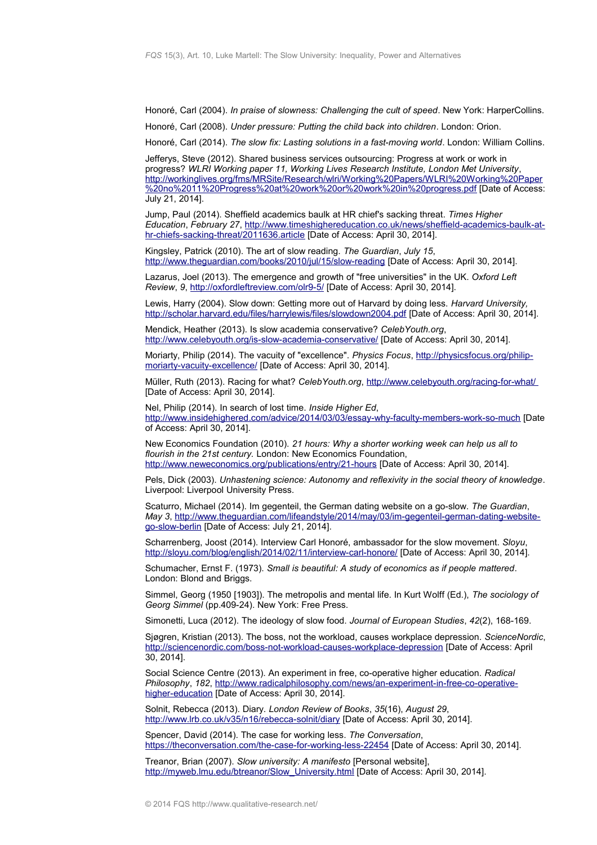Honoré, Carl (2004). *In praise of slowness: Challenging the cult of speed*. New York: HarperCollins.

Honoré, Carl (2008). *Under pressure: Putting the child back into children*. London: Orion.

Honoré, Carl (2014). *The slow fix: Lasting solutions in a fast-moving world*. London: William Collins.

Jefferys, Steve (2012). Shared business services outsourcing: Progress at work or work in progress? *WLRI Working paper 11, Working Lives Research Institute, London Met University*, [http://workinglives.org/fms/MRSite/Research/wlri/Working%20Papers/WLRI%20Working%20Paper](http://workinglives.org/fms/MRSite/Research/wlri/Working%20Papers/WLRI%20Working%20Paper%20no%2011%20Progress%20at%20work%20or%20work%20in%20progress.pdf) [%20no%2011%20Progress%20at%20work%20or%20work%20in%20progress.pdf](http://workinglives.org/fms/MRSite/Research/wlri/Working%20Papers/WLRI%20Working%20Paper%20no%2011%20Progress%20at%20work%20or%20work%20in%20progress.pdf) [Date of Access: July 21, 2014].

Jump, Paul (2014). Sheffield academics baulk at HR chief's sacking threat. *Times Higher Education*, *February 27*, [http://www.timeshighereducation.co.uk/news/sheffield-academics-baulk-at](http://www.timeshighereducation.co.uk/news/sheffield-academics-baulk-at-hr-chiefs-sacking-threat/2011636.article)[hr-chiefs-sacking-threat/2011636.article](http://www.timeshighereducation.co.uk/news/sheffield-academics-baulk-at-hr-chiefs-sacking-threat/2011636.article) [Date of Access: April 30, 2014].

Kingsley, Patrick (2010). The art of slow reading. *The Guardian*, *July 15*, <http://www.theguardian.com/books/2010/jul/15/slow-reading>[Date of Access: April 30, 2014].

Lazarus, Joel (2013). The emergence and growth of "free universities" in the UK. *Oxford Left Review*, *9*,<http://oxfordleftreview.com/olr9-5/>[Date of Access: April 30, 2014].

Lewis, Harry (2004). Slow down: Getting more out of Harvard by doing less. *Harvard University,* <http://scholar.harvard.edu/files/harrylewis/files/slowdown2004.pdf>[Date of Access: April 30, 2014].

Mendick, Heather (2013). Is slow academia conservative? *CelebYouth.org*, <http://www.celebyouth.org/is-slow-academia-conservative/>[Date of Access: April 30, 2014].

Moriarty, Philip (2014). The vacuity of "excellence". *Physics Focus*, [http://physicsfocus.org/philip](http://physicsfocus.org/philip-moriarty-vacuity-excellence/)[moriarty-vacuity-excellence/](http://physicsfocus.org/philip-moriarty-vacuity-excellence/) [Date of Access: April 30, 2014].

Müller, Ruth (2013). Racing for what? *CelebYouth.org*,<http://www.celebyouth.org/racing-for-what/> [Date of Access: April 30, 2014].

Nel, Philip (2014). In search of lost time. *Inside Higher Ed*, <http://www.insidehighered.com/advice/2014/03/03/essay-why-faculty-members-work-so-much>[Date of Access: April 30, 2014].

New Economics Foundation (2010). *21 hours: Why a shorter working week can help us all to flourish in the 21st century.* London: New Economics Foundation, <http://www.neweconomics.org/publications/entry/21-hours>[Date of Access: April 30, 2014].

Pels, Dick (2003). *Unhastening science: Autonomy and reflexivity in the social theory of knowledge*. Liverpool: Liverpool University Press.

Scaturro, Michael (2014). Im gegenteil, the German dating website on a go-slow. *The Guardian*, *May 3*, [http://www.theguardian.com/lifeandstyle/2014/may/03/im-gegenteil-german-dating-website](http://www.theguardian.com/lifeandstyle/2014/may/03/im-gegenteil-german-dating-website-go-slow-berlin)[go-slow-berlin](http://www.theguardian.com/lifeandstyle/2014/may/03/im-gegenteil-german-dating-website-go-slow-berlin) [Date of Access: July 21, 2014].

Scharrenberg, Joost (2014). Interview Carl Honoré, ambassador for the slow movement. *Sloyu*, <http://sloyu.com/blog/english/2014/02/11/interview-carl-honore/>[Date of Access: April 30, 2014].

Schumacher, Ernst F. (1973). *Small is beautiful: A study of economics as if people mattered*. London: Blond and Briggs.

Simmel, Georg (1950 [1903]). The metropolis and mental life. In Kurt Wolff (Ed.), *The sociology of Georg Simmel* (pp.409-24). New York: Free Press.

Simonetti, Luca (2012). The ideology of slow food. *Journal of European Studies*, *42*(2), 168-169.

Sjøgren, Kristian (2013). The boss, not the workload, causes workplace depression. *ScienceNordic*, <http://sciencenordic.com/boss-not-workload-causes-workplace-depression>[Date of Access: April 30, 2014].

Social Science Centre (2013). An experiment in free, co-operative higher education. *Radical Philosophy*, *182*, [http://www.radicalphilosophy.com/news/an-experiment-in-free-co-operative](http://www.radicalphilosophy.com/news/an-experiment-in-free-co-operative-higher-education)[higher-education](http://www.radicalphilosophy.com/news/an-experiment-in-free-co-operative-higher-education) [Date of Access: April 30, 2014].

Solnit, Rebecca (2013). Diary. *London Review of Books*, *35*(16), *August 29*, <http://www.lrb.co.uk/v35/n16/rebecca-solnit/diary>[Date of Access: April 30, 2014].

Spencer, David (2014). The case for working less. *The Conversation*, <https://theconversation.com/the-case-for-working-less-22454>[Date of Access: April 30, 2014].

Treanor, Brian (2007). *Slow university: A manifesto* [Personal website], [http://myweb.lmu.edu/btreanor/Slow\\_University.html](http://myweb.lmu.edu/btreanor/Slow_University.html) [Date of Access: April 30, 2014].